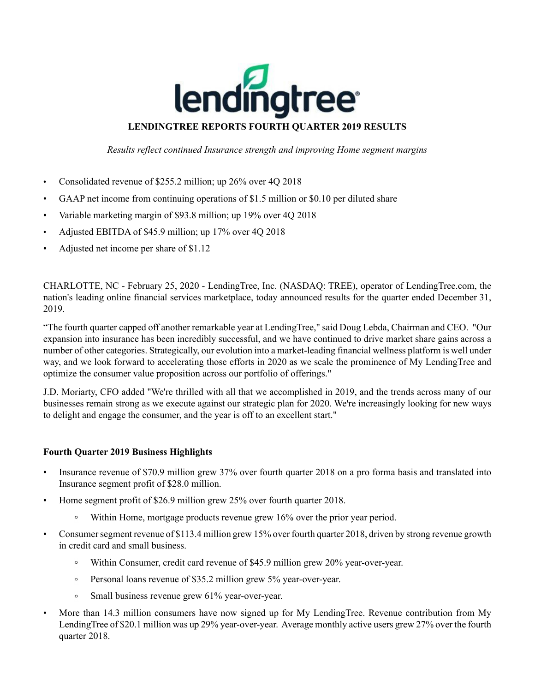

## **LENDINGTREE REPORTS FOURTH QUARTER 2019 RESULTS**

*Results reflect continued Insurance strength and improving Home segment margins*

- Consolidated revenue of \$255.2 million; up 26% over 4Q 2018
- GAAP net income from continuing operations of \$1.5 million or \$0.10 per diluted share
- Variable marketing margin of \$93.8 million; up 19% over 4Q 2018
- Adjusted EBITDA of \$45.9 million; up 17% over 4Q 2018
- Adjusted net income per share of \$1.12

CHARLOTTE, NC - February 25, 2020 - LendingTree, Inc. (NASDAQ: TREE), operator of LendingTree.com, the nation's leading online financial services marketplace, today announced results for the quarter ended December 31, 2019.

"The fourth quarter capped off another remarkable year at LendingTree," said Doug Lebda, Chairman and CEO. "Our expansion into insurance has been incredibly successful, and we have continued to drive market share gains across a number of other categories. Strategically, our evolution into a market-leading financial wellness platform is well under way, and we look forward to accelerating those efforts in 2020 as we scale the prominence of My LendingTree and optimize the consumer value proposition across our portfolio of offerings."

J.D. Moriarty, CFO added "We're thrilled with all that we accomplished in 2019, and the trends across many of our businesses remain strong as we execute against our strategic plan for 2020. We're increasingly looking for new ways to delight and engage the consumer, and the year is off to an excellent start."

## **Fourth Quarter 2019 Business Highlights**

- Insurance revenue of \$70.9 million grew 37% over fourth quarter 2018 on a pro forma basis and translated into Insurance segment profit of \$28.0 million.
- Home segment profit of \$26.9 million grew 25% over fourth quarter 2018.
	- $\circ$ Within Home, mortgage products revenue grew 16% over the prior year period.
- Consumer segment revenue of \$113.4 million grew 15% over fourth quarter 2018, driven by strong revenue growth in credit card and small business.
	- Within Consumer, credit card revenue of \$45.9 million grew 20% year-over-year.
	- Personal loans revenue of \$35.2 million grew 5% year-over-year.  $\circ$
	- $\circ$ Small business revenue grew 61% year-over-year.
- More than 14.3 million consumers have now signed up for My LendingTree. Revenue contribution from My LendingTree of \$20.1 million was up 29% year-over-year. Average monthly active users grew 27% over the fourth quarter 2018.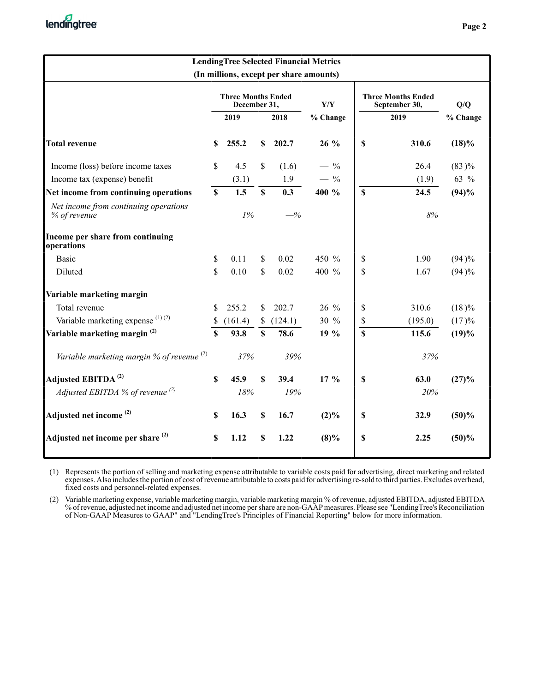| <b>LendingTree Selected Financial Metrics</b><br>(In millions, except per share amounts) |             |                                           |               |                |                                |             |                                            |          |  |  |  |  |
|------------------------------------------------------------------------------------------|-------------|-------------------------------------------|---------------|----------------|--------------------------------|-------------|--------------------------------------------|----------|--|--|--|--|
|                                                                                          |             | <b>Three Months Ended</b><br>December 31, |               |                | Y/Y                            |             | <b>Three Months Ended</b><br>September 30, | Q/Q      |  |  |  |  |
|                                                                                          |             | 2019                                      |               | 2018           | % Change                       | 2019        |                                            | % Change |  |  |  |  |
| <b>Total revenue</b>                                                                     | S           | 255.2                                     | $\mathbf S$   | 202.7          | $26\%$                         | \$          | 310.6                                      | (18)%    |  |  |  |  |
| Income (loss) before income taxes                                                        | \$          | 4.5                                       | $\mathsf{\$}$ | (1.6)          | $-$ %                          |             | 26.4                                       | $(83)\%$ |  |  |  |  |
| Income tax (expense) benefit                                                             |             | (3.1)                                     |               | 1.9            | $-$ %                          |             | (1.9)                                      | 63 %     |  |  |  |  |
| Net income from continuing operations                                                    | $\mathbf S$ | 1.5                                       | $\mathbf S$   | 0.3            | 400 %                          | $\mathbf S$ | 24.5                                       | (94)%    |  |  |  |  |
| Net income from continuing operations<br>% of revenue                                    |             | 1%                                        |               | $-\frac{9}{6}$ |                                | 8%          |                                            |          |  |  |  |  |
| Income per share from continuing<br>operations                                           |             |                                           |               |                |                                |             |                                            |          |  |  |  |  |
| <b>Basic</b>                                                                             | \$          | 0.11                                      | $\mathsf{\$}$ | 0.02           | 450 %                          | \$          | 1.90                                       | (94)%    |  |  |  |  |
| Diluted                                                                                  | \$          | 0.10                                      | $\mathsf{\$}$ | 0.02           | 400 %                          | \$          | 1.67                                       | (94)%    |  |  |  |  |
| Variable marketing margin                                                                |             |                                           |               |                |                                |             |                                            |          |  |  |  |  |
| Total revenue                                                                            | S           | 255.2                                     | $\mathsf{\$}$ | 202.7          | 26 %                           | \$          | 310.6                                      | $(18)\%$ |  |  |  |  |
| Variable marketing expense $(1)(2)$                                                      | \$          | (161.4)                                   | \$            | (124.1)        | 30 %                           | \$          | (195.0)                                    | (17)%    |  |  |  |  |
| Variable marketing margin <sup>(2)</sup>                                                 | $\mathbf S$ | 93.8                                      | $\mathbf S$   | 78.6           | 19 %                           | $\mathbf S$ | 115.6                                      | (19)%    |  |  |  |  |
| Variable marketing margin $%$ of revenue $(2)$                                           |             | 37%                                       |               | 39%            |                                |             | 37%                                        |          |  |  |  |  |
| Adjusted EBITDA <sup>(2)</sup>                                                           | \$          | 45.9                                      | $\mathbf S$   | 39.4           | 17 <sup>9</sup> / <sub>0</sub> | \$          | 63.0                                       | (27)%    |  |  |  |  |
| Adjusted EBITDA $%$ of revenue $(2)$                                                     |             | 18%                                       |               | 19%            |                                |             | 20%                                        |          |  |  |  |  |
| Adjusted net income <sup>(2)</sup>                                                       | \$          | 16.3                                      | $\mathbb S$   | 16.7           | $(2)\%$                        | \$          | 32.9                                       | (50)%    |  |  |  |  |
| Adjusted net income per share <sup>(2)</sup>                                             | S           | 1.12                                      | $\mathbf S$   | 1.22           | $(8)\%$                        | \$          | 2.25                                       | (50)%    |  |  |  |  |

(1) Represents the portion of selling and marketing expense attributable to variable costs paid for advertising, direct marketing and related expenses. Also includes the portion of cost of revenue attributable to costs paid for advertising re-sold to third parties. Excludes overhead, fixed costs and personnel-related expenses.

(2) Variable marketing expense, variable marketing margin, variable marketing margin % of revenue, adjusted EBITDA, adjusted EBITDA % of revenue, adjusted net income and adjusted net income per share are non-GAAPmeasures. Please see "LendingTree's Reconciliation of Non-GAAP Measures to GAAP" and "LendingTree's Principles of Financial Reporting" below for more information.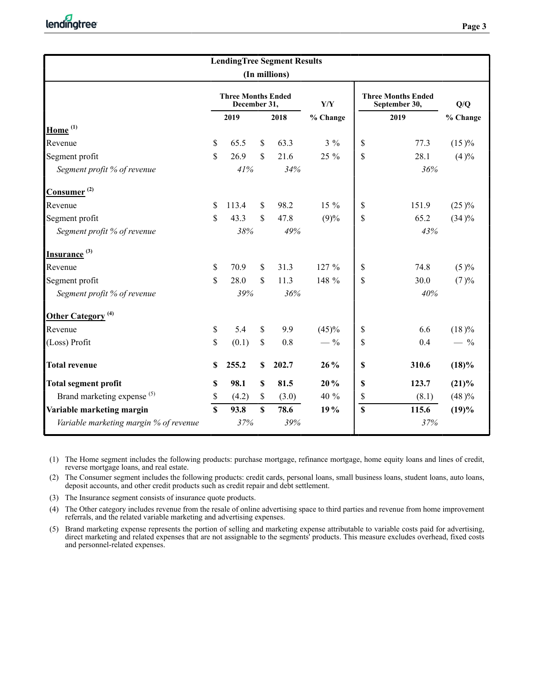| <b>LendingTree Segment Results</b>                    |                                           |       |              |       |          |               |                                            |          |  |  |  |  |
|-------------------------------------------------------|-------------------------------------------|-------|--------------|-------|----------|---------------|--------------------------------------------|----------|--|--|--|--|
| (In millions)                                         |                                           |       |              |       |          |               |                                            |          |  |  |  |  |
|                                                       | <b>Three Months Ended</b><br>December 31, |       |              |       | Y/Y      |               | <b>Three Months Ended</b><br>September 30, | Q/Q      |  |  |  |  |
|                                                       |                                           | 2019  |              | 2018  | % Change |               | 2019                                       | % Change |  |  |  |  |
| Home <sup>(1)</sup>                                   |                                           |       |              |       |          |               |                                            |          |  |  |  |  |
| Revenue                                               | $\mathbb{S}$                              | 65.5  | \$           | 63.3  | $3\%$    | <sup>\$</sup> | 77.3                                       | $(15)\%$ |  |  |  |  |
| Segment profit                                        | \$.                                       | 26.9  | $\mathbb{S}$ | 21.6  | 25 %     | \$            | 28.1                                       | (4)%     |  |  |  |  |
| Segment profit % of revenue                           |                                           | 41%   |              | 34%   |          |               | 36%                                        |          |  |  |  |  |
| $\frac{ \text{Cosumer}^{(2)}}{ \text{Cosumer}^{(2)}}$ |                                           |       |              |       |          |               |                                            |          |  |  |  |  |
| Revenue                                               | \$.                                       | 113.4 | \$           | 98.2  | $15\%$   | \$            | 151.9                                      | $(25)\%$ |  |  |  |  |
| Segment profit                                        | S.                                        | 43.3  | $\mathbb{S}$ | 47.8  | (9)%     | \$            | 65.2                                       | $(34)\%$ |  |  |  |  |
| Segment profit % of revenue                           | 38%<br>49%                                |       |              |       |          |               | 43%                                        |          |  |  |  |  |
| Insurance <sup>(3)</sup>                              |                                           |       |              |       |          |               |                                            |          |  |  |  |  |
| Revenue                                               | \$                                        | 70.9  | \$           | 31.3  | 127 %    | \$            | 74.8                                       | (5)%     |  |  |  |  |
| Segment profit                                        | \$                                        | 28.0  | \$           | 11.3  | 148 %    | \$            | 30.0                                       | (7)%     |  |  |  |  |
| Segment profit % of revenue                           |                                           | 39%   |              | 36%   |          |               | 40%                                        |          |  |  |  |  |
| Other Category <sup>(4)</sup>                         |                                           |       |              |       |          |               |                                            |          |  |  |  |  |
| Revenue                                               | \$                                        | 5.4   | \$           | 9.9   | (45)%    | \$            | 6.6                                        | (18)%    |  |  |  |  |
| (Loss) Profit                                         | \$                                        | (0.1) | \$           | 0.8   | $-$ %    | \$            | 0.4                                        | $-$ %    |  |  |  |  |
| <b>Total revenue</b>                                  | S                                         | 255.2 | S            | 202.7 | 26 %     | $\mathbf S$   | 310.6                                      | (18)%    |  |  |  |  |
| <b>Total segment profit</b>                           | S                                         | 98.1  | $\mathbf S$  | 81.5  | 20%      | S             | 123.7                                      | $(21)\%$ |  |  |  |  |
| Brand marketing expense <sup>(5)</sup>                | \$                                        | (4.2) | \$           | (3.0) | 40 %     | \$            | (8.1)                                      | (48)%    |  |  |  |  |
| Variable marketing margin                             | $\mathbf S$                               | 93.8  | \$           | 78.6  | 19 %     | $\mathbf S$   | 115.6                                      | (19)%    |  |  |  |  |
| Variable marketing margin % of revenue                |                                           | 37%   |              | 39%   |          |               | 37%                                        |          |  |  |  |  |

(1) The Home segment includes the following products: purchase mortgage, refinance mortgage, home equity loans and lines of credit, reverse mortgage loans, and real estate.

(2) The Consumer segment includes the following products: credit cards, personal loans, small business loans, student loans, auto loans, deposit accounts, and other credit products such as credit repair and debt settlement.

(3) The Insurance segment consists of insurance quote products.

(4) The Other category includes revenue from the resale of online advertising space to third parties and revenue from home improvement referrals, and the related variable marketing and advertising expenses.

(5) Brand marketing expense represents the portion of selling and marketing expense attributable to variable costs paid for advertising, direct marketing and related expenses that are not assignable to the segments' products. This measure excludes overhead, fixed costs and personnel-related expenses.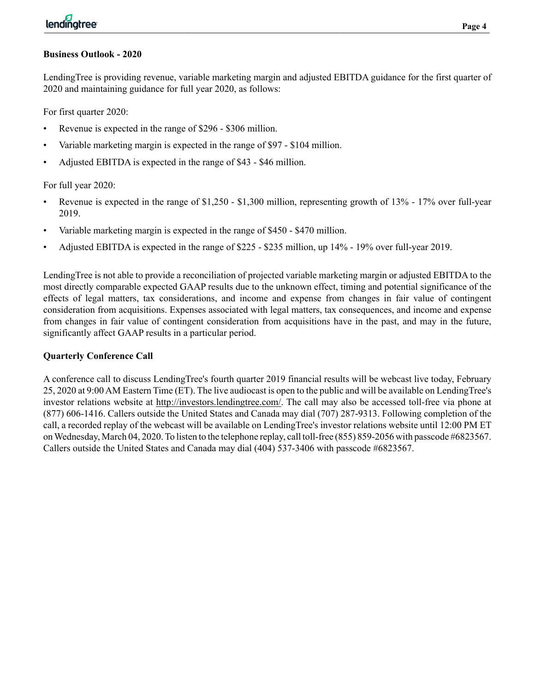## **Business Outlook - 2020**

LendingTree is providing revenue, variable marketing margin and adjusted EBITDA guidance for the first quarter of 2020 and maintaining guidance for full year 2020, as follows:

For first quarter 2020:

- Revenue is expected in the range of \$296 \$306 million.
- Variable marketing margin is expected in the range of \$97 \$104 million.
- Adjusted EBITDA is expected in the range of \$43 \$46 million.

For full year 2020:

- Revenue is expected in the range of \$1,250 \$1,300 million, representing growth of 13% 17% over full-year 2019.
- Variable marketing margin is expected in the range of \$450 \$470 million.
- Adjusted EBITDA is expected in the range of \$225 \$235 million, up 14% 19% over full-year 2019.

LendingTree is not able to provide a reconciliation of projected variable marketing margin or adjusted EBITDA to the most directly comparable expected GAAP results due to the unknown effect, timing and potential significance of the effects of legal matters, tax considerations, and income and expense from changes in fair value of contingent consideration from acquisitions. Expenses associated with legal matters, tax consequences, and income and expense from changes in fair value of contingent consideration from acquisitions have in the past, and may in the future, significantly affect GAAP results in a particular period.

# **Quarterly Conference Call**

A conference call to discuss LendingTree's fourth quarter 2019 financial results will be webcast live today, February 25, 2020 at 9:00 AM Eastern Time (ET). The live audiocast is open to the public and will be available on LendingTree's investor relations website at http://investors.lendingtree.com/. The call may also be accessed toll-free via phone at (877) 606-1416. Callers outside the United States and Canada may dial (707) 287-9313. Following completion of the call, a recorded replay of the webcast will be available on LendingTree's investor relations website until 12:00 PM ET on Wednesday, March 04, 2020. To listen to the telephone replay, call toll-free (855) 859-2056 with passcode #6823567. Callers outside the United States and Canada may dial (404) 537-3406 with passcode #6823567.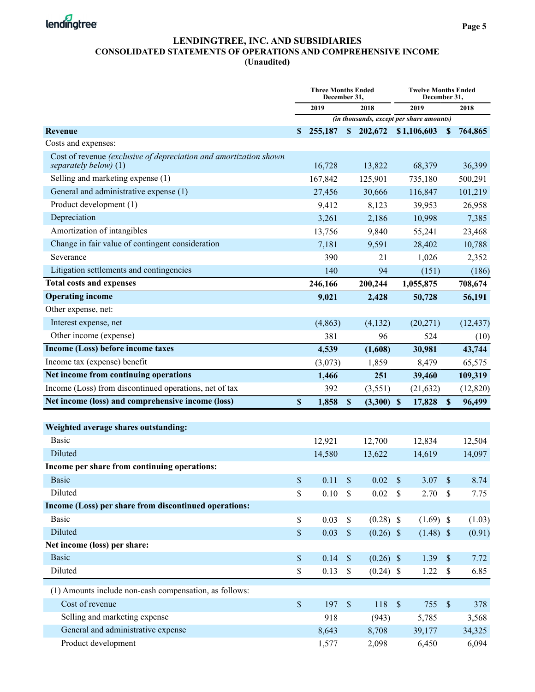

## **LENDINGTREE, INC. AND SUBSIDIARIES CONSOLIDATED STATEMENTS OF OPERATIONS AND COMPREHENSIVE INCOME (Unaudited)**

|                                                                                            | <b>Three Months Ended</b><br>December 31, |          |               |             |               | <b>Twelve Months Ended</b><br>December 31, |                           |           |  |
|--------------------------------------------------------------------------------------------|-------------------------------------------|----------|---------------|-------------|---------------|--------------------------------------------|---------------------------|-----------|--|
|                                                                                            |                                           | 2019     |               | 2018        |               | 2019                                       |                           | 2018      |  |
|                                                                                            |                                           |          |               |             |               | (in thousands, except per share amounts)   |                           |           |  |
| Revenue                                                                                    | S                                         | 255,187  |               | \$202,672   |               | \$1,106,603                                | $\mathbf{s}$              | 764,865   |  |
| Costs and expenses:                                                                        |                                           |          |               |             |               |                                            |                           |           |  |
| Cost of revenue (exclusive of depreciation and amortization shown<br>separately below) (1) |                                           | 16,728   |               | 13,822      |               | 68,379                                     |                           | 36,399    |  |
| Selling and marketing expense (1)                                                          |                                           | 167,842  |               | 125,901     |               | 735,180                                    |                           | 500,291   |  |
| General and administrative expense (1)                                                     |                                           | 27,456   |               | 30,666      |               | 116,847                                    |                           | 101,219   |  |
| Product development (1)                                                                    |                                           | 9,412    |               | 8,123       |               | 39,953                                     |                           | 26,958    |  |
| Depreciation                                                                               |                                           | 3,261    |               | 2,186       |               | 10,998                                     |                           | 7,385     |  |
| Amortization of intangibles                                                                |                                           | 13,756   |               | 9,840       |               | 55,241                                     |                           | 23,468    |  |
| Change in fair value of contingent consideration                                           |                                           | 7,181    |               | 9,591       |               | 28,402                                     |                           | 10,788    |  |
| Severance                                                                                  |                                           | 390      |               | 21          |               | 1,026                                      |                           | 2,352     |  |
| Litigation settlements and contingencies                                                   |                                           | 140      |               | 94          |               | (151)                                      |                           | (186)     |  |
| <b>Total costs and expenses</b>                                                            |                                           | 246,166  |               | 200,244     |               | 1,055,875                                  |                           | 708,674   |  |
| <b>Operating income</b>                                                                    |                                           | 9,021    |               | 2,428       |               | 50,728                                     |                           | 56,191    |  |
| Other expense, net:                                                                        |                                           |          |               |             |               |                                            |                           |           |  |
| Interest expense, net                                                                      |                                           | (4, 863) |               | (4,132)     |               | (20,271)                                   |                           | (12, 437) |  |
| Other income (expense)                                                                     |                                           | 381      |               | 96          |               | 524                                        |                           | (10)      |  |
| Income (Loss) before income taxes                                                          |                                           | 4,539    |               | (1,608)     |               | 30,981                                     |                           | 43,744    |  |
| Income tax (expense) benefit                                                               |                                           | (3,073)  |               | 1,859       |               | 8,479                                      |                           | 65,575    |  |
| Net income from continuing operations                                                      |                                           | 1,466    |               | 251         |               | 39,460                                     |                           | 109,319   |  |
| Income (Loss) from discontinued operations, net of tax                                     |                                           | 392      |               | (3,551)     |               | (21, 632)                                  |                           | (12, 820) |  |
| Net income (loss) and comprehensive income (loss)                                          | \$                                        | 1,858    | $\mathbf{\$}$ | (3,300)     | $\mathbf{\$}$ | 17,828                                     | $\mathbf{\$}$             | 96,499    |  |
|                                                                                            |                                           |          |               |             |               |                                            |                           |           |  |
| Weighted average shares outstanding:                                                       |                                           |          |               |             |               |                                            |                           |           |  |
| <b>Basic</b>                                                                               |                                           | 12,921   |               | 12,700      |               | 12,834                                     |                           | 12,504    |  |
| Diluted                                                                                    |                                           | 14,580   |               | 13,622      |               | 14,619                                     |                           | 14,097    |  |
| Income per share from continuing operations:                                               |                                           |          |               |             |               |                                            |                           |           |  |
| Basic                                                                                      | \$                                        | 0.11     | \$            | 0.02        | \$            | 3.07                                       | $\boldsymbol{\mathsf{S}}$ | 8.74      |  |
| Diluted                                                                                    | \$                                        | 0.10     | \$            | 0.02        | \$            | 2.70                                       | \$                        | 7.75      |  |
| Income (Loss) per share from discontinued operations:                                      |                                           |          |               |             |               |                                            |                           |           |  |
| <b>Basic</b>                                                                               | \$                                        | 0.03     | \$            | $(0.28)$ \$ |               | $(1.69)$ \$                                |                           | (1.03)    |  |
| Diluted                                                                                    | \$                                        | 0.03     | $\mathbb{S}$  | $(0.26)$ \$ |               | $(1.48)$ \$                                |                           | (0.91)    |  |
| Net income (loss) per share:                                                               |                                           |          |               |             |               |                                            |                           |           |  |
| <b>Basic</b>                                                                               | $\mathbb{S}$                              | 0.14     | $\mathbb S$   | $(0.26)$ \$ |               | 1.39                                       | $\mathbb{S}$              | 7.72      |  |
| Diluted                                                                                    | $\mathbb S$                               | 0.13     | $\mathbb S$   | $(0.24)$ \$ |               | 1.22                                       | \$                        | 6.85      |  |
| (1) Amounts include non-cash compensation, as follows:                                     |                                           |          |               |             |               |                                            |                           |           |  |
| Cost of revenue                                                                            | $\mathbb S$                               | 197      | $\mathbb S$   | 118         | $\mathcal{S}$ | 755                                        | $\mathbb S$               | 378       |  |
| Selling and marketing expense                                                              |                                           | 918      |               | (943)       |               | 5,785                                      |                           | 3,568     |  |
| General and administrative expense                                                         |                                           | 8,643    |               | 8,708       |               | 39,177                                     |                           | 34,325    |  |
| Product development                                                                        |                                           | 1,577    |               | 2,098       |               | 6,450                                      |                           | 6,094     |  |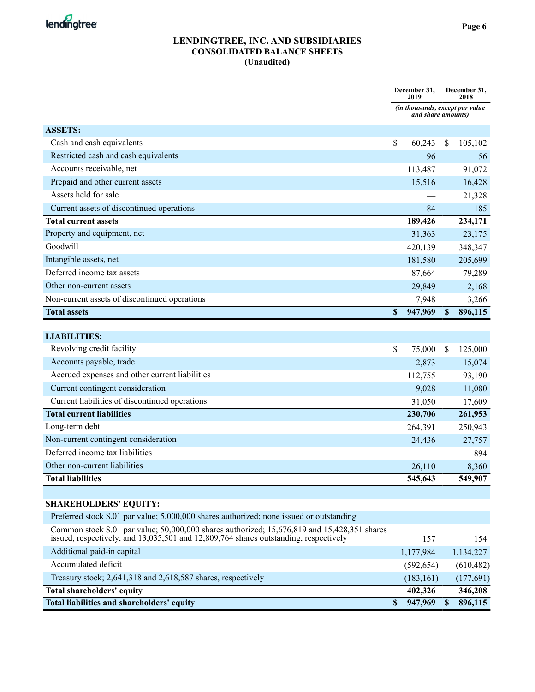

### **LENDINGTREE, INC. AND SUBSIDIARIES CONSOLIDATED BALANCE SHEETS (Unaudited)**

|                                                                                                                                                                                      | December 31,<br>2019 |                                                       |               | December 31,<br>2018 |
|--------------------------------------------------------------------------------------------------------------------------------------------------------------------------------------|----------------------|-------------------------------------------------------|---------------|----------------------|
|                                                                                                                                                                                      |                      | (in thousands, except par value<br>and share amounts) |               |                      |
| <b>ASSETS:</b>                                                                                                                                                                       |                      |                                                       |               |                      |
| Cash and cash equivalents                                                                                                                                                            | \$                   | 60,243                                                | S             | 105,102              |
| Restricted cash and cash equivalents                                                                                                                                                 |                      | 96                                                    |               | 56                   |
| Accounts receivable, net                                                                                                                                                             |                      | 113,487                                               |               | 91,072               |
| Prepaid and other current assets                                                                                                                                                     |                      | 15,516                                                |               | 16,428               |
| Assets held for sale                                                                                                                                                                 |                      |                                                       |               | 21,328               |
| Current assets of discontinued operations                                                                                                                                            |                      | 84                                                    |               | 185                  |
| <b>Total current assets</b>                                                                                                                                                          |                      | 189,426                                               |               | 234,171              |
| Property and equipment, net                                                                                                                                                          |                      | 31,363                                                |               | 23,175               |
| Goodwill                                                                                                                                                                             |                      | 420,139                                               |               | 348,347              |
| Intangible assets, net                                                                                                                                                               |                      | 181,580                                               |               | 205,699              |
| Deferred income tax assets                                                                                                                                                           |                      | 87,664                                                |               | 79,289               |
| Other non-current assets                                                                                                                                                             |                      | 29,849                                                |               | 2,168                |
| Non-current assets of discontinued operations                                                                                                                                        |                      | 7,948                                                 |               | 3,266                |
| <b>Total assets</b>                                                                                                                                                                  | \$                   | 947,969                                               | $\mathbf S$   | 896,115              |
|                                                                                                                                                                                      |                      |                                                       |               |                      |
| <b>LIABILITIES:</b>                                                                                                                                                                  |                      |                                                       |               |                      |
| Revolving credit facility                                                                                                                                                            | \$                   | 75,000                                                | S             | 125,000              |
| Accounts payable, trade                                                                                                                                                              |                      | 2,873                                                 |               | 15,074               |
| Accrued expenses and other current liabilities                                                                                                                                       |                      | 112,755                                               |               | 93,190               |
| Current contingent consideration                                                                                                                                                     |                      | 9,028                                                 |               | 11,080               |
| Current liabilities of discontinued operations                                                                                                                                       |                      | 31,050                                                |               | 17,609               |
| <b>Total current liabilities</b>                                                                                                                                                     |                      | 230,706                                               |               | 261,953              |
| Long-term debt                                                                                                                                                                       |                      | 264,391                                               |               | 250,943              |
| Non-current contingent consideration                                                                                                                                                 |                      | 24,436                                                |               | 27,757               |
| Deferred income tax liabilities                                                                                                                                                      |                      |                                                       |               | 894                  |
| Other non-current liabilities                                                                                                                                                        |                      | 26,110                                                |               | 8,360                |
| <b>Total liabilities</b>                                                                                                                                                             |                      | 545,643                                               |               | 549,907              |
|                                                                                                                                                                                      |                      |                                                       |               |                      |
| <b>SHAREHOLDERS' EQUITY:</b>                                                                                                                                                         |                      |                                                       |               |                      |
| Preferred stock \$.01 par value; 5,000,000 shares authorized; none issued or outstanding                                                                                             |                      |                                                       |               |                      |
| Common stock \$.01 par value; 50,000,000 shares authorized; 15,676,819 and 15,428,351 shares<br>issued, respectively, and 13,035,501 and 12,809,764 shares outstanding, respectively |                      | 157                                                   |               | 154                  |
| Additional paid-in capital                                                                                                                                                           |                      | 1,177,984                                             |               | 1,134,227            |
| Accumulated deficit                                                                                                                                                                  |                      | (592, 654)                                            |               | (610, 482)           |
| Treasury stock; 2,641,318 and 2,618,587 shares, respectively                                                                                                                         |                      | (183, 161)                                            |               | (177,691)            |
| <b>Total shareholders' equity</b>                                                                                                                                                    |                      | 402,326                                               |               | 346,208              |
| <b>Total liabilities and shareholders' equity</b>                                                                                                                                    | \$                   | 947,969                                               | <sup>\$</sup> | 896,115              |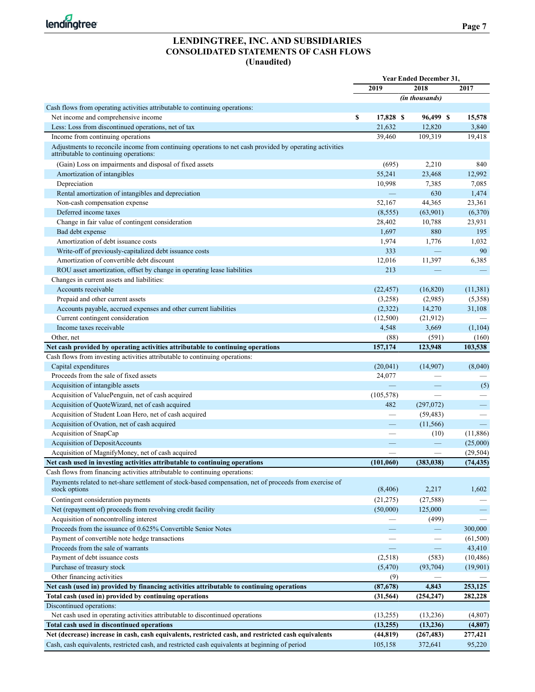

### **LENDINGTREE, INC. AND SUBSIDIARIES CONSOLIDATED STATEMENTS OF CASH FLOWS (Unaudited)**

|                                                                                                                                                   | <b>Year Ended December 31,</b> |                       |                          |
|---------------------------------------------------------------------------------------------------------------------------------------------------|--------------------------------|-----------------------|--------------------------|
|                                                                                                                                                   | 2019                           | 2018                  | 2017                     |
|                                                                                                                                                   |                                | <i>(in thousands)</i> |                          |
| Cash flows from operating activities attributable to continuing operations:                                                                       |                                |                       |                          |
| Net income and comprehensive income                                                                                                               | \$<br>17,828 \$                | 96,499 \$             | 15,578                   |
| Less: Loss from discontinued operations, net of tax                                                                                               | 21,632                         | 12,820                | 3,840                    |
| Income from continuing operations                                                                                                                 | 39,460                         | 109,319               | 19,418                   |
| Adjustments to reconcile income from continuing operations to net cash provided by operating activities<br>attributable to continuing operations: |                                |                       |                          |
| (Gain) Loss on impairments and disposal of fixed assets                                                                                           | (695)                          | 2,210                 | 840                      |
| Amortization of intangibles                                                                                                                       | 55,241                         | 23,468                | 12.992                   |
| Depreciation                                                                                                                                      | 10,998                         | 7,385                 | 7,085                    |
| Rental amortization of intangibles and depreciation                                                                                               | $\equiv$                       | 630                   | 1,474                    |
| Non-cash compensation expense                                                                                                                     | 52,167                         | 44,365                | 23,361                   |
| Deferred income taxes                                                                                                                             | (8, 555)                       | (63,901)              | (6,370)                  |
| Change in fair value of contingent consideration                                                                                                  | 28,402                         | 10,788                | 23,931                   |
| Bad debt expense                                                                                                                                  | 1,697                          | 880                   | 195                      |
| Amortization of debt issuance costs                                                                                                               | 1,974                          | 1,776                 | 1,032                    |
| Write-off of previously-capitalized debt issuance costs                                                                                           | 333                            |                       | 90                       |
| Amortization of convertible debt discount                                                                                                         | 12,016                         | 11,397                | 6,385                    |
| ROU asset amortization, offset by change in operating lease liabilities                                                                           | 213                            |                       |                          |
| Changes in current assets and liabilities:                                                                                                        |                                |                       |                          |
| Accounts receivable                                                                                                                               | (22, 457)                      | (16, 820)             | (11, 381)                |
| Prepaid and other current assets                                                                                                                  | (3,258)                        | (2,985)               | (5,358)                  |
| Accounts payable, accrued expenses and other current liabilities                                                                                  | (2,322)                        | 14,270                | 31,108                   |
| Current contingent consideration                                                                                                                  | (12,500)                       | (21, 912)             |                          |
| Income taxes receivable                                                                                                                           | 4,548                          |                       |                          |
|                                                                                                                                                   |                                | 3,669                 | (1,104)                  |
| Other, net<br>Net cash provided by operating activities attributable to continuing operations                                                     | (88)<br>157,174                | (591)<br>123,948      | (160)<br>103,538         |
|                                                                                                                                                   |                                |                       |                          |
| Cash flows from investing activities attributable to continuing operations:                                                                       |                                |                       |                          |
| Capital expenditures                                                                                                                              | (20,041)                       | (14,907)              | (8,040)                  |
| Proceeds from the sale of fixed assets                                                                                                            | 24,077                         |                       |                          |
| Acquisition of intangible assets                                                                                                                  |                                |                       | (5)                      |
| Acquisition of ValuePenguin, net of cash acquired                                                                                                 | (105, 578)                     |                       |                          |
| Acquisition of QuoteWizard, net of cash acquired                                                                                                  | 482                            | (297,072)             | —                        |
| Acquisition of Student Loan Hero, net of cash acquired                                                                                            | $\overline{\phantom{0}}$       | (59, 483)             |                          |
| Acquisition of Ovation, net of cash acquired                                                                                                      | $\overline{\phantom{0}}$       | (11, 566)             |                          |
| Acquisition of SnapCap                                                                                                                            |                                | (10)                  | (11,886)                 |
| Acquisition of DepositAccounts                                                                                                                    |                                |                       | (25,000)                 |
| Acquisition of MagnifyMoney, net of cash acquired                                                                                                 |                                |                       | (29, 504)                |
| Net cash used in investing activities attributable to continuing operations                                                                       | (101,060)                      | (383, 038)            | (74, 435)                |
| Cash flows from financing activities attributable to continuing operations:                                                                       |                                |                       |                          |
| Payments related to net-share settlement of stock-based compensation, net of proceeds from exercise of<br>stock options                           | (8, 406)                       | 2,217                 | 1,602                    |
| Contingent consideration payments                                                                                                                 | (21, 275)                      | (27, 588)             |                          |
| Net (repayment of) proceeds from revolving credit facility                                                                                        | (50,000)                       | 125,000               | $\overline{\phantom{0}}$ |
| Acquisition of noncontrolling interest                                                                                                            |                                | (499)                 |                          |
| Proceeds from the issuance of 0.625% Convertible Senior Notes                                                                                     |                                |                       | 300,000                  |
| Payment of convertible note hedge transactions                                                                                                    |                                |                       | (61,500)                 |
| Proceeds from the sale of warrants                                                                                                                |                                |                       | 43,410                   |
| Payment of debt issuance costs                                                                                                                    | (2,518)                        | (583)                 | (10, 486)                |
| Purchase of treasury stock                                                                                                                        | (5,470)                        | (93, 704)             | (19,901)                 |
| Other financing activities                                                                                                                        | (9)                            |                       |                          |
| Net cash (used in) provided by financing activities attributable to continuing operations                                                         | (87,678)                       | 4,843                 | 253,125                  |
| Total cash (used in) provided by continuing operations                                                                                            | (31, 564)                      | (254, 247)            | 282,228                  |
| Discontinued operations:                                                                                                                          |                                |                       |                          |
| Net cash used in operating activities attributable to discontinued operations                                                                     | (13,255)                       | (13,236)              | (4,807)                  |
| Total cash used in discontinued operations                                                                                                        | (13,255)                       | (13,236)              | (4,807)                  |
| Net (decrease) increase in cash, cash equivalents, restricted cash, and restricted cash equivalents                                               | (44, 819)                      | (267, 483)            | 277,421                  |
| Cash, cash equivalents, restricted cash, and restricted cash equivalents at beginning of period                                                   | 105,158                        | 372,641               | 95,220                   |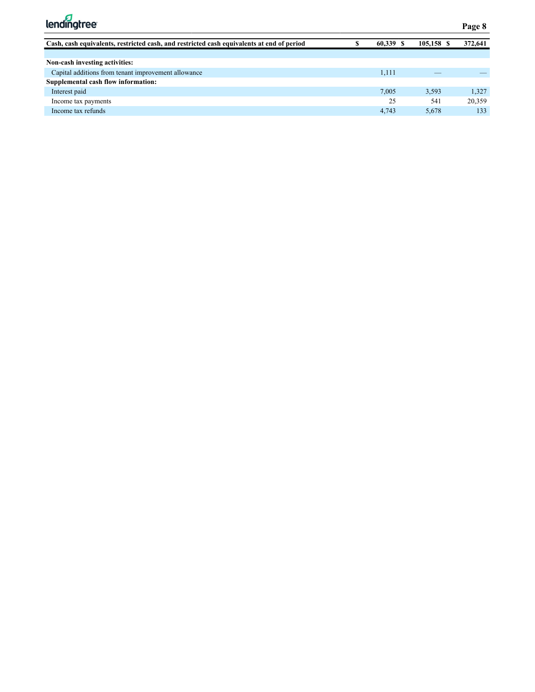

| Cash, cash equivalents, restricted cash, and restricted cash equivalents at end of period | 60.339 | 105,158 \$ | 372,641 |
|-------------------------------------------------------------------------------------------|--------|------------|---------|
|                                                                                           |        |            |         |
| Non-cash investing activities:                                                            |        |            |         |
| Capital additions from tenant improvement allowance                                       | 1,111  |            |         |
| Supplemental cash flow information:                                                       |        |            |         |
| Interest paid                                                                             | 7,005  | 3.593      | 1.327   |
| Income tax payments                                                                       | 25     | 541        | 20.359  |
| Income tax refunds                                                                        | 4.743  | 5,678      | 133     |
|                                                                                           |        |            |         |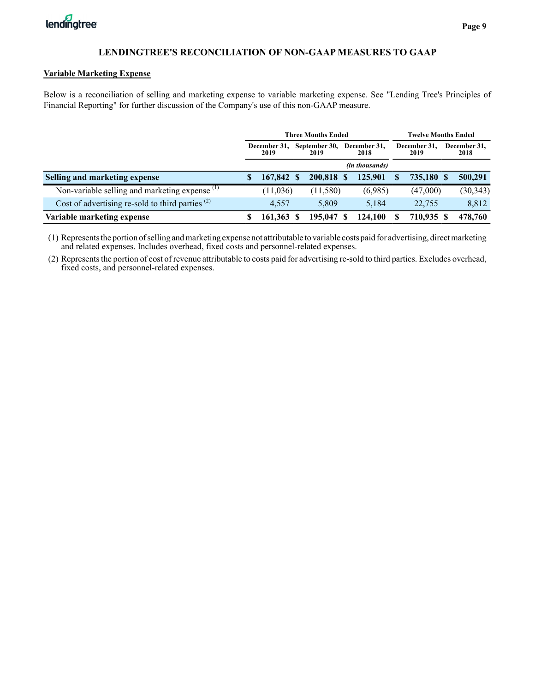## **Variable Marketing Expense**

Below is a reconciliation of selling and marketing expense to variable marketing expense. See "Lending Tree's Principles of Financial Reporting" for further discussion of the Company's use of this non-GAAP measure.

|                                                           |   |                      | <b>Three Months Ended</b> |     |                      |   | <b>Twelve Months Ended</b> |   |                      |  |
|-----------------------------------------------------------|---|----------------------|---------------------------|-----|----------------------|---|----------------------------|---|----------------------|--|
|                                                           |   | December 31.<br>2019 | September 30,<br>2019     |     | December 31,<br>2018 |   | December 31,<br>2019       |   | December 31,<br>2018 |  |
|                                                           |   |                      |                           |     | (in thousands)       |   |                            |   |                      |  |
| Selling and marketing expense                             | S | 167,842 \$           | 200.818                   | - 8 | 125,901              | S | 735,180 \$                 |   | 500,291              |  |
| Non-variable selling and marketing expense <sup>(1)</sup> |   | (11,036)             | (11,580)                  |     | (6,985)              |   | (47,000)                   |   | (30, 343)            |  |
| Cost of advertising re-sold to third parties $(2)$        |   | 4.557                | 5.809                     |     | 5.184                |   | 22,755                     |   | 8,812                |  |
| Variable marketing expense                                | S | 161,363              | 195,047                   |     | 124,100              |   | 710,935                    | S | 478,760              |  |

(1) Represents the portion of selling and marketing expense not attributable to variable costs paid for advertising, direct marketing and related expenses. Includes overhead, fixed costs and personnel-related expenses.

(2) Represents the portion of cost of revenue attributable to costs paid for advertising re-sold to third parties. Excludes overhead, fixed costs, and personnel-related expenses.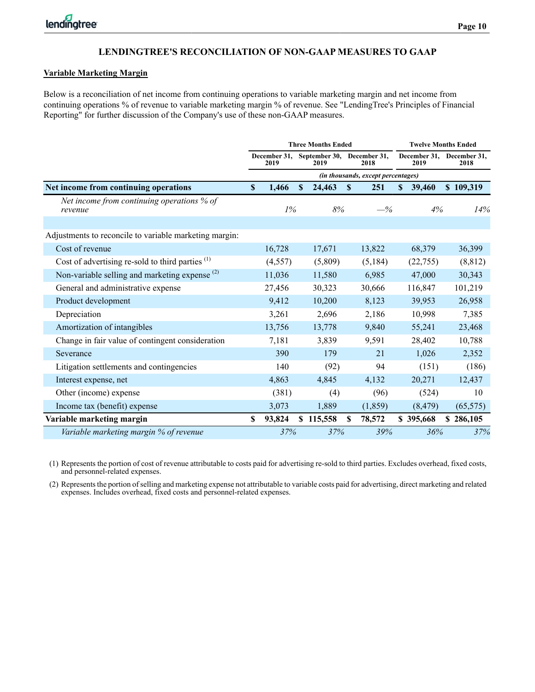#### **Variable Marketing Margin**

Below is a reconciliation of net income from continuing operations to variable marketing margin and net income from continuing operations % of revenue to variable marketing margin % of revenue. See "LendingTree's Principles of Financial Reporting" for further discussion of the Company's use of these non-GAAP measures.

|                                                           |                           |                      |   | <b>Three Months Ended</b> |                                    |                      | <b>Twelve Months Ended</b> |           |                                   |  |  |
|-----------------------------------------------------------|---------------------------|----------------------|---|---------------------------|------------------------------------|----------------------|----------------------------|-----------|-----------------------------------|--|--|
|                                                           |                           | December 31,<br>2019 |   | September 30,<br>2019     |                                    | December 31,<br>2018 |                            | 2019      | December 31, December 31,<br>2018 |  |  |
|                                                           |                           |                      |   |                           | (in thousands, except percentages) |                      |                            |           |                                   |  |  |
| Net income from continuing operations                     | $\boldsymbol{\mathsf{S}}$ | 1,466                | S | 24,463                    | S                                  | 251                  | S                          | 39,460    | \$109,319                         |  |  |
| Net income from continuing operations % of<br>revenue     |                           | $1\%$                |   | 8%                        |                                    | $-\%$                |                            | 4%        | 14%                               |  |  |
| Adjustments to reconcile to variable marketing margin:    |                           |                      |   |                           |                                    |                      |                            |           |                                   |  |  |
| Cost of revenue                                           |                           | 16,728               |   | 17,671                    |                                    | 13,822               |                            | 68,379    | 36,399                            |  |  |
| Cost of advertising re-sold to third parties $(1)$        |                           | (4, 557)             |   | (5,809)                   |                                    | (5,184)              |                            | (22,755)  | (8, 812)                          |  |  |
| Non-variable selling and marketing expense <sup>(2)</sup> |                           | 11,036               |   | 11,580                    |                                    | 6,985                |                            | 47,000    | 30,343                            |  |  |
| General and administrative expense                        |                           | 27,456               |   | 30,323                    |                                    | 30,666               |                            | 116,847   | 101,219                           |  |  |
| Product development                                       |                           | 9,412                |   | 10,200                    |                                    | 8,123                |                            | 39,953    | 26,958                            |  |  |
| Depreciation                                              |                           | 3,261                |   | 2,696                     |                                    | 2,186                |                            | 10,998    | 7,385                             |  |  |
| Amortization of intangibles                               |                           | 13,756               |   | 13,778                    |                                    | 9,840                |                            | 55,241    | 23,468                            |  |  |
| Change in fair value of contingent consideration          |                           | 7,181                |   | 3,839                     |                                    | 9,591                |                            | 28,402    | 10,788                            |  |  |
| Severance                                                 |                           | 390                  |   | 179                       |                                    | 21                   |                            | 1,026     | 2,352                             |  |  |
| Litigation settlements and contingencies                  |                           | 140                  |   | (92)                      |                                    | 94                   |                            | (151)     | (186)                             |  |  |
| Interest expense, net                                     |                           | 4,863                |   | 4,845                     |                                    | 4,132                |                            | 20,271    | 12,437                            |  |  |
| Other (income) expense                                    |                           | (381)                |   | (4)                       |                                    | (96)                 |                            | (524)     | 10                                |  |  |
| Income tax (benefit) expense                              |                           | 3,073                |   | 1,889                     |                                    | (1, 859)             |                            | (8, 479)  | (65, 575)                         |  |  |
| Variable marketing margin                                 | \$                        | 93,824               |   | \$115,558                 | S                                  | 78,572               |                            | \$395,668 | \$286,105                         |  |  |
| Variable marketing margin % of revenue                    |                           | 37%                  |   | 37%                       |                                    | 39%                  |                            | 36%       | 37%                               |  |  |

(1) Represents the portion of cost of revenue attributable to costs paid for advertising re-sold to third parties. Excludes overhead, fixed costs, and personnel-related expenses.

(2) Represents the portion of selling and marketing expense not attributable to variable costs paid for advertising, direct marketing and related expenses. Includes overhead, fixed costs and personnel-related expenses.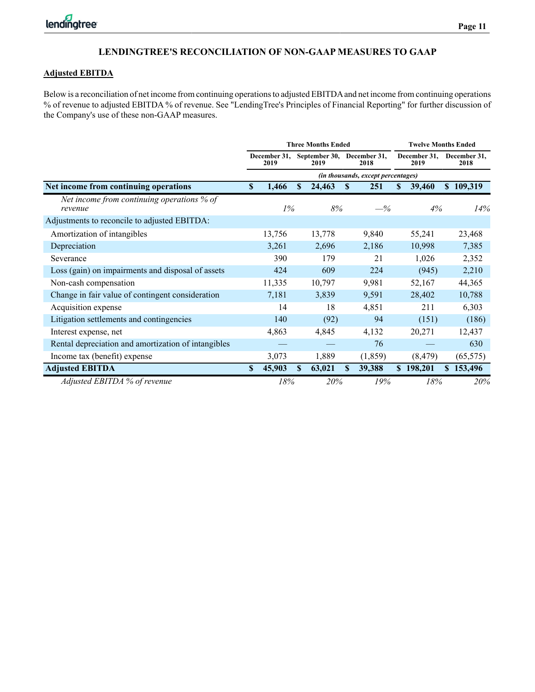#### **Adjusted EBITDA**

Below is a reconciliation of net income from continuing operations to adjusted EBITDAand net income from continuing operations % of revenue to adjusted EBITDA % of revenue. See "LendingTree's Principles of Financial Reporting" for further discussion of the Company's use of these non-GAAP measures.

|                                                       |    |                      |     | <b>Three Months Ended</b>          |    | <b>Twelve Months Ended</b>                |                      |          |    |                      |  |  |
|-------------------------------------------------------|----|----------------------|-----|------------------------------------|----|-------------------------------------------|----------------------|----------|----|----------------------|--|--|
|                                                       |    | December 31,<br>2019 |     | September 30, December 31,<br>2019 |    | 2018                                      | December 31,<br>2019 |          |    | December 31,<br>2018 |  |  |
|                                                       |    |                      |     |                                    |    | <i>(in thousands, except percentages)</i> |                      |          |    |                      |  |  |
| Net income from continuing operations                 | \$ | 1,466                | \$. | 24,463                             | S  | 251                                       | S                    | 39,460   | S. | 109,319              |  |  |
| Net income from continuing operations % of<br>revenue |    | $1\%$                |     | 8%                                 |    | $-\%$                                     |                      | 4%       |    | 14%                  |  |  |
| Adjustments to reconcile to adjusted EBITDA:          |    |                      |     |                                    |    |                                           |                      |          |    |                      |  |  |
| Amortization of intangibles                           |    | 13,756               |     | 13,778                             |    | 9,840                                     |                      | 55,241   |    | 23,468               |  |  |
| Depreciation                                          |    | 3,261                |     | 2,696                              |    | 2,186                                     |                      | 10,998   |    | 7,385                |  |  |
| Severance                                             |    | 390                  |     | 179                                |    | 21                                        |                      | 1,026    |    | 2,352                |  |  |
| Loss (gain) on impairments and disposal of assets     |    | 424                  |     | 609                                |    | 224                                       |                      | (945)    |    | 2,210                |  |  |
| Non-cash compensation                                 |    | 11,335               |     | 10,797                             |    | 9,981                                     |                      | 52,167   |    | 44,365               |  |  |
| Change in fair value of contingent consideration      |    | 7,181                |     | 3,839                              |    | 9,591                                     |                      | 28,402   |    | 10,788               |  |  |
| Acquisition expense                                   |    | 14                   |     | 18                                 |    | 4,851                                     |                      | 211      |    | 6,303                |  |  |
| Litigation settlements and contingencies              |    | 140                  |     | (92)                               |    | 94                                        |                      | (151)    |    | (186)                |  |  |
| Interest expense, net                                 |    | 4,863                |     | 4,845                              |    | 4,132                                     |                      | 20,271   |    | 12,437               |  |  |
| Rental depreciation and amortization of intangibles   |    |                      |     |                                    |    | 76                                        |                      |          |    | 630                  |  |  |
| Income tax (benefit) expense                          |    | 3,073                |     | 1,889                              |    | (1, 859)                                  |                      | (8, 479) |    | (65, 575)            |  |  |
| <b>Adjusted EBITDA</b>                                | S  | 45,903               | \$. | 63,021                             | S. | 39,388                                    | S.                   | 198,201  | S. | 153,496              |  |  |
| Adjusted EBITDA % of revenue                          |    | 18%                  |     | 20%                                |    | 19%                                       |                      | 18%      |    | 20%                  |  |  |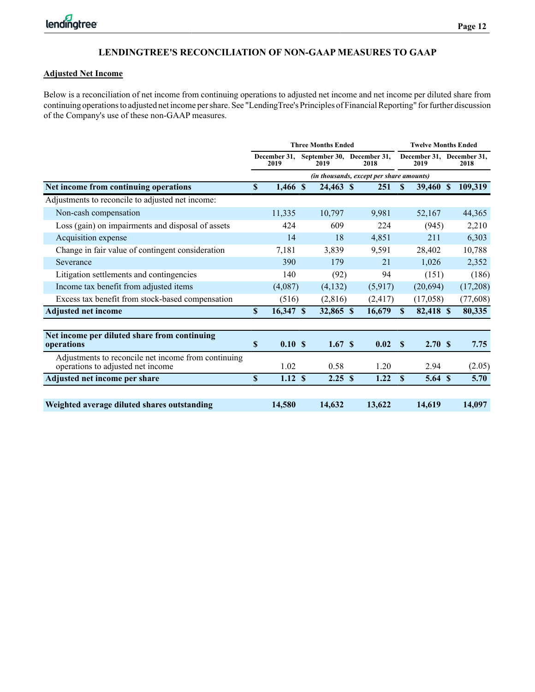#### **Adjusted Net Income**

Below is a reconciliation of net income from continuing operations to adjusted net income and net income per diluted share from continuing operations to adjusted net income per share. See "LendingTree's Principles of Financial Reporting" for further discussion of the Company's use of these non-GAAP measures.

|                                                                                          |                                          |                      |  | <b>Three Months Ended</b>          |  | <b>Twelve Months Ended</b> |              |                                   |  |          |
|------------------------------------------------------------------------------------------|------------------------------------------|----------------------|--|------------------------------------|--|----------------------------|--------------|-----------------------------------|--|----------|
|                                                                                          |                                          | December 31,<br>2019 |  | September 30, December 31,<br>2019 |  | 2018                       |              | December 31, December 31,<br>2019 |  | 2018     |
|                                                                                          | (in thousands, except per share amounts) |                      |  |                                    |  |                            |              |                                   |  |          |
| Net income from continuing operations                                                    | \$                                       | 1,466 \$             |  | 24,463 \$                          |  | 251                        | S            | 39,460 \$                         |  | 109,319  |
| Adjustments to reconcile to adjusted net income:                                         |                                          |                      |  |                                    |  |                            |              |                                   |  |          |
| Non-cash compensation                                                                    |                                          | 11,335               |  | 10,797                             |  | 9,981                      |              | 52,167                            |  | 44,365   |
| Loss (gain) on impairments and disposal of assets                                        |                                          | 424                  |  | 609                                |  | 224                        |              | (945)                             |  | 2,210    |
| Acquisition expense                                                                      |                                          | 14                   |  | 18                                 |  | 4,851                      |              | 211                               |  | 6,303    |
| Change in fair value of contingent consideration                                         |                                          | 7,181                |  | 3,839                              |  | 9,591                      |              | 28,402                            |  | 10,788   |
| Severance                                                                                |                                          | 390                  |  | 179                                |  | 21                         |              | 1,026                             |  | 2,352    |
| Litigation settlements and contingencies                                                 |                                          | 140                  |  | (92)                               |  | 94                         |              | (151)                             |  | (186)    |
| Income tax benefit from adjusted items                                                   |                                          | (4,087)              |  | (4,132)                            |  | (5,917)                    |              | (20,694)                          |  | (17,208) |
| Excess tax benefit from stock-based compensation                                         |                                          | (516)                |  | (2,816)                            |  | (2, 417)                   |              | (17,058)                          |  | (77,608) |
| <b>Adjusted net income</b>                                                               | \$                                       | 16,347 \$            |  | 32,865 \$                          |  | 16,679                     | $\mathbf{s}$ | 82,418 \$                         |  | 80,335   |
| Net income per diluted share from continuing                                             |                                          |                      |  |                                    |  |                            |              |                                   |  |          |
| operations                                                                               | \$                                       | 0.10S                |  | 1.67S                              |  | 0.02                       | $\mathbf{s}$ | 2.70S                             |  | 7.75     |
| Adjustments to reconcile net income from continuing<br>operations to adjusted net income |                                          | 1.02                 |  | 0.58                               |  | 1.20                       |              | 2.94                              |  | (2.05)   |
| Adjusted net income per share                                                            | \$                                       | 1.12S                |  | 2.25S                              |  | 1.22                       | \$           | 5.64S                             |  | 5.70     |
|                                                                                          |                                          |                      |  |                                    |  |                            |              |                                   |  |          |
| Weighted average diluted shares outstanding                                              |                                          | 14,580               |  | 14,632                             |  | 13,622                     |              | 14,619                            |  | 14,097   |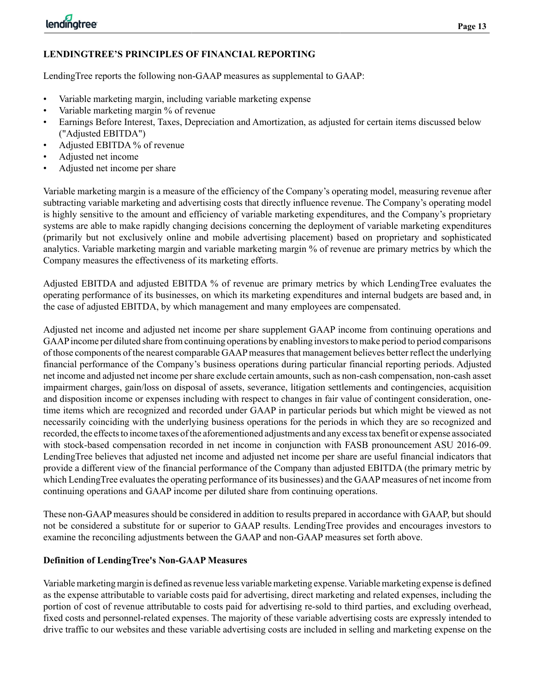# **LENDINGTREE'S PRINCIPLES OF FINANCIAL REPORTING**

LendingTree reports the following non-GAAP measures as supplemental to GAAP:

- Variable marketing margin, including variable marketing expense
- Variable marketing margin % of revenue
- Earnings Before Interest, Taxes, Depreciation and Amortization, as adjusted for certain items discussed below ("Adjusted EBITDA")
- Adjusted EBITDA % of revenue
- Adjusted net income
- Adjusted net income per share

Variable marketing margin is a measure of the efficiency of the Company's operating model, measuring revenue after subtracting variable marketing and advertising costs that directly influence revenue. The Company's operating model is highly sensitive to the amount and efficiency of variable marketing expenditures, and the Company's proprietary systems are able to make rapidly changing decisions concerning the deployment of variable marketing expenditures (primarily but not exclusively online and mobile advertising placement) based on proprietary and sophisticated analytics. Variable marketing margin and variable marketing margin % of revenue are primary metrics by which the Company measures the effectiveness of its marketing efforts.

Adjusted EBITDA and adjusted EBITDA % of revenue are primary metrics by which LendingTree evaluates the operating performance of its businesses, on which its marketing expenditures and internal budgets are based and, in the case of adjusted EBITDA, by which management and many employees are compensated.

Adjusted net income and adjusted net income per share supplement GAAP income from continuing operations and GAAPincome per diluted share from continuing operations by enabling investors to make period to period comparisons of those components of the nearest comparable GAAPmeasures that management believes better reflect the underlying financial performance of the Company's business operations during particular financial reporting periods. Adjusted net income and adjusted net income per share exclude certain amounts, such as non-cash compensation, non-cash asset impairment charges, gain/loss on disposal of assets, severance, litigation settlements and contingencies, acquisition and disposition income or expenses including with respect to changes in fair value of contingent consideration, onetime items which are recognized and recorded under GAAP in particular periods but which might be viewed as not necessarily coinciding with the underlying business operations for the periods in which they are so recognized and recorded, the effects to income taxes of the aforementioned adjustments and any excess tax benefit or expense associated with stock-based compensation recorded in net income in conjunction with FASB pronouncement ASU 2016-09. LendingTree believes that adjusted net income and adjusted net income per share are useful financial indicators that provide a different view of the financial performance of the Company than adjusted EBITDA (the primary metric by which LendingTree evaluates the operating performance of its businesses) and the GAAP measures of net income from continuing operations and GAAP income per diluted share from continuing operations.

These non-GAAP measures should be considered in addition to results prepared in accordance with GAAP, but should not be considered a substitute for or superior to GAAP results. LendingTree provides and encourages investors to examine the reconciling adjustments between the GAAP and non-GAAP measures set forth above.

# **Definition of LendingTree's Non-GAAP Measures**

Variable marketing margin is defined as revenue less variable marketing expense. Variable marketing expense is defined as the expense attributable to variable costs paid for advertising, direct marketing and related expenses, including the portion of cost of revenue attributable to costs paid for advertising re-sold to third parties, and excluding overhead, fixed costs and personnel-related expenses. The majority of these variable advertising costs are expressly intended to drive traffic to our websites and these variable advertising costs are included in selling and marketing expense on the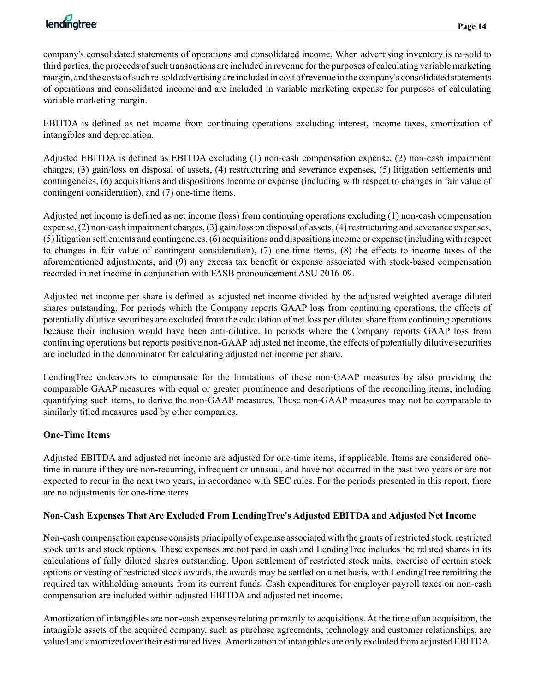company's consolidated statements of operations and consolidated income. When advertising inventory is re-sold to third parties, the proceeds of such transactions are included in revenue for the purposes of calculating variable marketing margin, and the costs of such re-sold advertising are included in cost of revenue in the company's consolidated statements of operations and consolidated income and are included in variable marketing expense for purposes of calculating variable marketing margin.

EBITDA is defined as net income from continuing operations excluding interest, income taxes, amortization of intangibles and depreciation.

Adjusted EBITDA is defined as EBITDA excluding (1) non-cash compensation expense, (2) non-cash impairment charges, (3) gain/loss on disposal of assets, (4) restructuring and severance expenses, (5) litigation settlements and contingencies, (6) acquisitions and dispositions income or expense (including with respect to changes in fair value of contingent consideration), and (7) one-time items.

Adjusted net income is defined as net income (loss) from continuing operations excluding (1) non-cash compensation expense, (2) non-cash impairment charges, (3) gain/loss on disposal of assets, (4) restructuring and severance expenses, (5) litigation settlements and contingencies, (6) acquisitions and dispositions income or expense (including with respect to changes in fair value of contingent consideration), (7) one-time items, (8) the effects to income taxes of the aforementioned adjustments, and (9) any excess tax benefit or expense associated with stock-based compensation recorded in net income in conjunction with FASB pronouncement ASU 2016-09.

Adjusted net income per share is defined as adjusted net income divided by the adjusted weighted average diluted shares outstanding. For periods which the Company reports GAAP loss from continuing operations, the effects of potentially dilutive securities are excluded from the calculation of net loss per diluted share from continuing operations because their inclusion would have been anti-dilutive. In periods where the Company reports GAAP loss from continuing operations but reports positive non-GAAP adjusted net income, the effects of potentially dilutive securities are included in the denominator for calculating adjusted net income per share.

LendingTree endeavors to compensate for the limitations of these non-GAAP measures by also providing the comparable GAAP measures with equal or greater prominence and descriptions of the reconciling items, including quantifying such items, to derive the non-GAAP measures. These non-GAAP measures may not be comparable to similarly titled measures used by other companies.

# **One-Time Items**

Adjusted EBITDA and adjusted net income are adjusted for one-time items, if applicable. Items are considered onetime in nature if they are non-recurring, infrequent or unusual, and have not occurred in the past two years or are not expected to recur in the next two years, in accordance with SEC rules. For the periods presented in this report, there are no adjustments for one-time items.

# **Non-Cash Expenses That Are Excluded From LendingTree's Adjusted EBITDA and Adjusted Net Income**

Non-cash compensation expense consists principally of expense associated with the grants of restricted stock, restricted stock units and stock options. These expenses are not paid in cash and LendingTree includes the related shares in its calculations of fully diluted shares outstanding. Upon settlement of restricted stock units, exercise of certain stock options or vesting of restricted stock awards, the awards may be settled on a net basis, with LendingTree remitting the required tax withholding amounts from its current funds. Cash expenditures for employer payroll taxes on non-cash compensation are included within adjusted EBITDA and adjusted net income.

Amortization of intangibles are non-cash expenses relating primarily to acquisitions. At the time of an acquisition, the intangible assets of the acquired company, such as purchase agreements, technology and customer relationships, are valued and amortized over their estimated lives. Amortization of intangibles are only excluded from adjusted EBITDA.